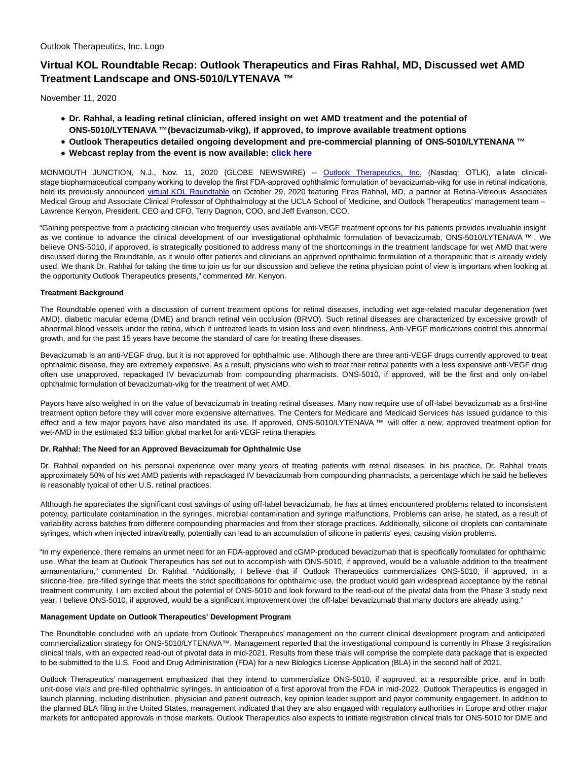# **Virtual KOL Roundtable Recap: Outlook Therapeutics and Firas Rahhal, MD, Discussed wet AMD Treatment Landscape and ONS-5010/LYTENAVA ™**

November 11, 2020

- **Dr. Rahhal, a leading retinal clinician, offered insight on wet AMD treatment and the potential of ONS-5010/LYTENAVA ™ (bevacizumab-vikg), if approved, to improve available treatment options**
- **Outlook Therapeutics detailed ongoing development and pre-commercial planning of ONS-5010/LYTENANA ™**
- **Webcast replay from the event is now available: [click here](https://event.webcasts.com/starthere.jsp?ei=1389088&tp_key=659855d124)**

MONMOUTH JUNCTION, N.J., Nov. 11, 2020 (GLOBE NEWSWIRE) -- [Outlook Therapeutics, Inc.](https://www.globenewswire.com/Tracker?data=-E6KsCvGmvPQqpl9JpMeKd8ii_v_fvFclzw0VJhwz8063HYCEJdX6h4oMzWG-rjuCHMcV6nXGCGb56N6L55EeguqqTXOxeVyxDu6ZQSEKFU=) (Nasdaq: OTLK), a late clinicalstage biopharmaceutical company working to develop the first FDA-approved ophthalmic formulation of bevacizumab-vikg for use in retinal indications, held its previously announced [virtual KOL Roundtable o](https://www.globenewswire.com/Tracker?data=ho-4U3_gSFXoBEDEvrPA3htxZJ6bIElfwDMKuf_QrbSOniu-tE4HIr6dDWA9HkvLm1D0kg49zFql2BlRWYFXenVBcaNd_tE1025izC9_iW3E4sNTRcgNFHi4Xsdb64MwlSIdHeEL_yXH8xMmDQ68Af11Nuw2jegRoTZNiyHJwsE=)n October 29, 2020 featuring Firas Rahhal, MD, a partner at Retina-Vitreous Associates Medical Group and Associate Clinical Professor of Ophthalmology at the UCLA School of Medicine, and Outlook Therapeutics' management team – Lawrence Kenyon, President, CEO and CFO, Terry Dagnon, COO, and Jeff Evanson, CCO.

"Gaining perspective from a practicing clinician who frequently uses available anti-VEGF treatment options for his patients provides invaluable insight as we continue to advance the clinical development of our investigational ophthalmic formulation of bevacizumab, ONS-5010/LYTENAVA ™ . We believe ONS-5010, if approved, is strategically positioned to address many of the shortcomings in the treatment landscape for wet AMD that were discussed during the Roundtable, as it would offer patients and clinicians an approved ophthalmic formulation of a therapeutic that is already widely used. We thank Dr. Rahhal for taking the time to join us for our discussion and believe the retina physician point of view is important when looking at the opportunity Outlook Therapeutics presents," commented Mr. Kenyon.

# **Treatment Background**

The Roundtable opened with a discussion of current treatment options for retinal diseases, including wet age-related macular degeneration (wet AMD), diabetic macular edema (DME) and branch retinal vein occlusion (BRVO). Such retinal diseases are characterized by excessive growth of abnormal blood vessels under the retina, which if untreated leads to vision loss and even blindness. Anti-VEGF medications control this abnormal growth, and for the past 15 years have become the standard of care for treating these diseases.

Bevacizumab is an anti-VEGF drug, but it is not approved for ophthalmic use. Although there are three anti-VEGF drugs currently approved to treat ophthalmic disease, they are extremely expensive. As a result, physicians who wish to treat their retinal patients with a less expensive anti-VEGF drug often use unapproved, repackaged IV bevacizumab from compounding pharmacists. ONS-5010, if approved, will be the first and only on-label ophthalmic formulation of bevacizumab-vikg for the treatment of wet AMD.

Payors have also weighed in on the value of bevacizumab in treating retinal diseases. Many now require use of off-label bevacizumab as a first-line treatment option before they will cover more expensive alternatives. The Centers for Medicare and Medicaid Services has issued guidance to this effect and a few major payors have also mandated its use. If approved, ONS-5010/LYTENAVA ™ will offer a new, approved treatment option for wet-AMD in the estimated \$13 billion global market for anti-VEGF retina therapies.

# **Dr. Rahhal: The Need for an Approved Bevacizumab for Ophthalmic Use**

Dr. Rahhal expanded on his personal experience over many years of treating patients with retinal diseases. In his practice, Dr. Rahhal treats approximately 50% of his wet AMD patients with repackaged IV bevacizumab from compounding pharmacists, a percentage which he said he believes is reasonably typical of other U.S. retinal practices.

Although he appreciates the significant cost savings of using off-label bevacizumab, he has at times encountered problems related to inconsistent potency, particulate contamination in the syringes, microbial contamination and syringe malfunctions. Problems can arise, he stated, as a result of variability across batches from different compounding pharmacies and from their storage practices. Additionally, silicone oil droplets can contaminate syringes, which when injected intravitreally, potentially can lead to an accumulation of silicone in patients' eyes, causing vision problems.

"In my experience, there remains an unmet need for an FDA-approved and cGMP-produced bevacizumab that is specifically formulated for ophthalmic use. What the team at Outlook Therapeutics has set out to accomplish with ONS-5010, if approved, would be a valuable addition to the treatment armamentarium," commented Dr. Rahhal. "Additionally, I believe that if Outlook Therapeutics commercializes ONS-5010, if approved, in a silicone-free, pre-filled syringe that meets the strict specifications for ophthalmic use, the product would gain widespread acceptance by the retinal treatment community. I am excited about the potential of ONS-5010 and look forward to the read-out of the pivotal data from the Phase 3 study next year. I believe ONS-5010, if approved, would be a significant improvement over the off-label bevacizumab that many doctors are already using."

# **Management Update on Outlook Therapeutics' Development Program**

The Roundtable concluded with an update from Outlook Therapeutics' management on the current clinical development program and anticipated commercialization strategy for ONS-5010/LYTENAVA™. Management reported that the investigational compound is currently in Phase 3 registration clinical trials, with an expected read-out of pivotal data in mid-2021. Results from these trials will comprise the complete data package that is expected to be submitted to the U.S. Food and Drug Administration (FDA) for a new Biologics License Application (BLA) in the second half of 2021.

Outlook Therapeutics' management emphasized that they intend to commercialize ONS-5010, if approved, at a responsible price, and in both unit-dose vials and pre-filled ophthalmic syringes. In anticipation of a first approval from the FDA in mid-2022, Outlook Therapeutics is engaged in launch planning, including distribution, physician and patient outreach, key opinion leader support and payor community engagement. In addition to the planned BLA filing in the United States, management indicated that they are also engaged with regulatory authorities in Europe and other major markets for anticipated approvals in those markets. Outlook Therapeutics also expects to initiate registration clinical trials for ONS-5010 for DME and